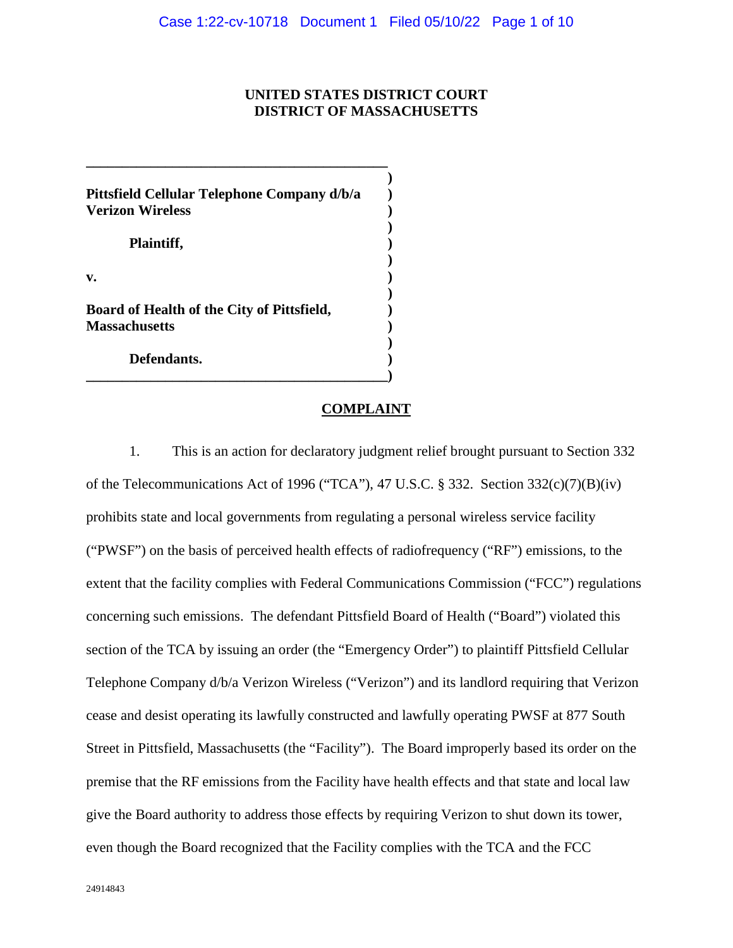# **UNITED STATES DISTRICT COURT DISTRICT OF MASSACHUSETTS**

**)** 

**)** 

**)** 

**)** 

**)** 

**Pittsfield Cellular Telephone Company d/b/a ) Verizon Wireless )**  Plaintiff,  $\qquad \qquad$  ) **v. ) Board of Health of the City of Pittsfield, ) Massachusetts ) Defendants. )** 

**\_\_\_\_\_\_\_\_\_\_\_\_\_\_\_\_\_\_\_\_\_\_\_\_\_\_\_\_\_\_\_\_\_\_\_\_\_\_\_\_\_\_)** 

**\_\_\_\_\_\_\_\_\_\_\_\_\_\_\_\_\_\_\_\_\_\_\_\_\_\_\_\_\_\_\_\_\_\_\_\_\_\_\_\_\_\_** 

## **COMPLAINT**

1. This is an action for declaratory judgment relief brought pursuant to Section 332 of the Telecommunications Act of 1996 ("TCA"), 47 U.S.C. § 332. Section  $332(c)(7)(B)(iv)$ prohibits state and local governments from regulating a personal wireless service facility ("PWSF") on the basis of perceived health effects of radiofrequency ("RF") emissions, to the extent that the facility complies with Federal Communications Commission ("FCC") regulations concerning such emissions. The defendant Pittsfield Board of Health ("Board") violated this section of the TCA by issuing an order (the "Emergency Order") to plaintiff Pittsfield Cellular Telephone Company d/b/a Verizon Wireless ("Verizon") and its landlord requiring that Verizon cease and desist operating its lawfully constructed and lawfully operating PWSF at 877 South Street in Pittsfield, Massachusetts (the "Facility"). The Board improperly based its order on the premise that the RF emissions from the Facility have health effects and that state and local law give the Board authority to address those effects by requiring Verizon to shut down its tower, even though the Board recognized that the Facility complies with the TCA and the FCC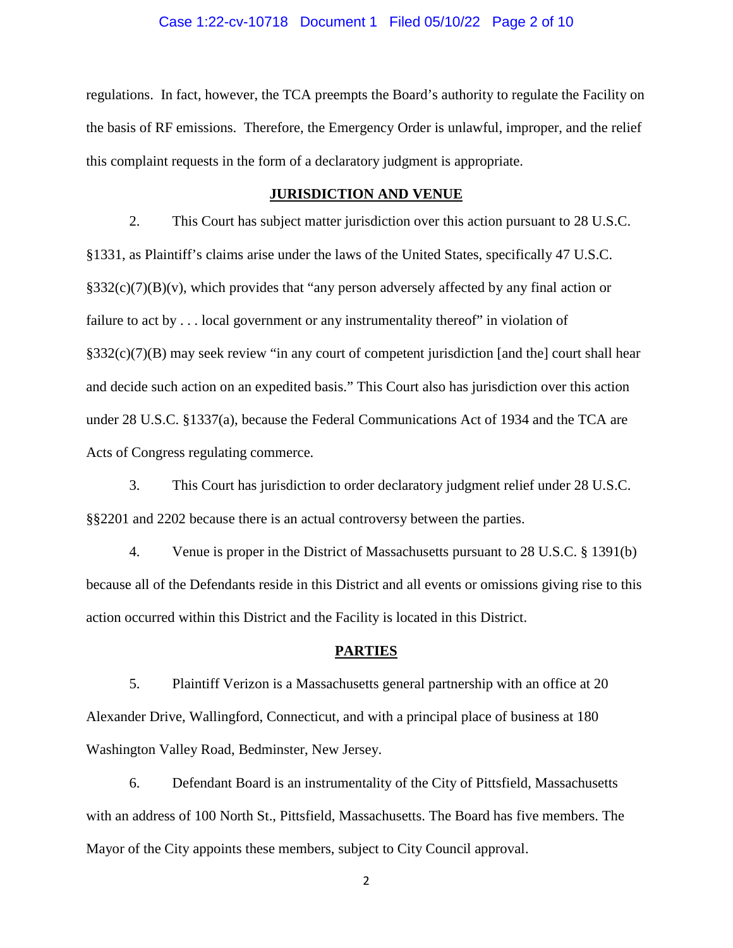#### Case 1:22-cv-10718 Document 1 Filed 05/10/22 Page 2 of 10

regulations. In fact, however, the TCA preempts the Board's authority to regulate the Facility on the basis of RF emissions. Therefore, the Emergency Order is unlawful, improper, and the relief this complaint requests in the form of a declaratory judgment is appropriate.

#### **JURISDICTION AND VENUE**

2. This Court has subject matter jurisdiction over this action pursuant to 28 U.S.C. §1331, as Plaintiff's claims arise under the laws of the United States, specifically 47 U.S.C.  $\S 332(c)(7)(B)(v)$ , which provides that "any person adversely affected by any final action or failure to act by . . . local government or any instrumentality thereof" in violation of  $§332(c)(7)(B)$  may seek review "in any court of competent jurisdiction [and the] court shall hear and decide such action on an expedited basis." This Court also has jurisdiction over this action under 28 U.S.C. §1337(a), because the Federal Communications Act of 1934 and the TCA are Acts of Congress regulating commerce.

3. This Court has jurisdiction to order declaratory judgment relief under 28 U.S.C. §§2201 and 2202 because there is an actual controversy between the parties.

4. Venue is proper in the District of Massachusetts pursuant to 28 U.S.C. § 1391(b) because all of the Defendants reside in this District and all events or omissions giving rise to this action occurred within this District and the Facility is located in this District.

#### **PARTIES**

5. Plaintiff Verizon is a Massachusetts general partnership with an office at 20 Alexander Drive, Wallingford, Connecticut, and with a principal place of business at 180 Washington Valley Road, Bedminster, New Jersey.

6. Defendant Board is an instrumentality of the City of Pittsfield, Massachusetts with an address of 100 North St., Pittsfield, Massachusetts. The Board has five members. The Mayor of the City appoints these members, subject to City Council approval.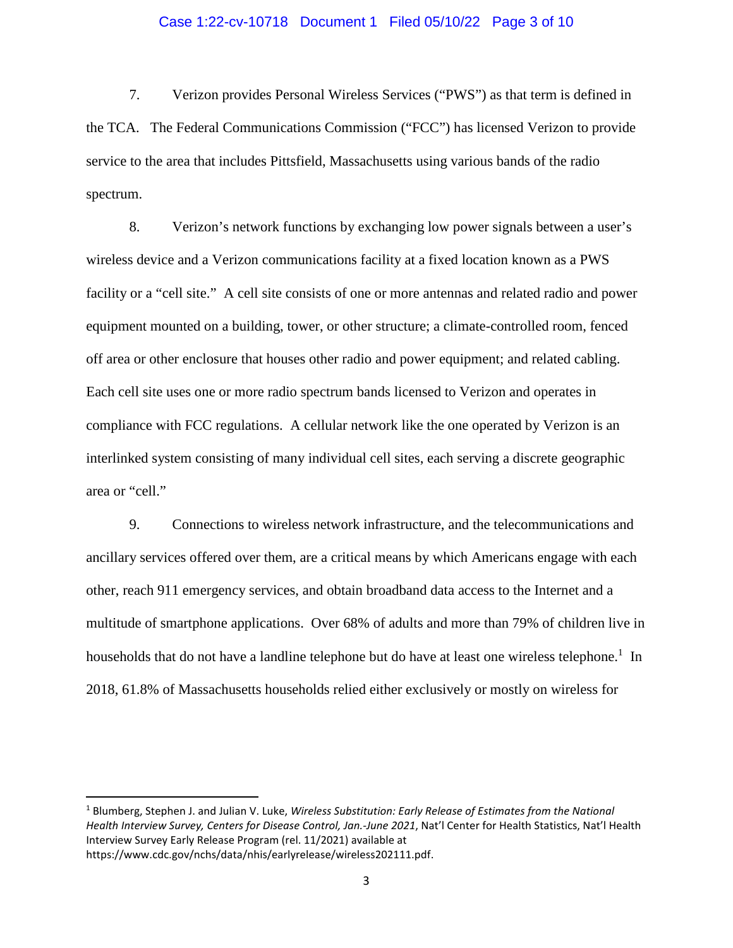## Case 1:22-cv-10718 Document 1 Filed 05/10/22 Page 3 of 10

7. Verizon provides Personal Wireless Services ("PWS") as that term is defined in the TCA. The Federal Communications Commission ("FCC") has licensed Verizon to provide service to the area that includes Pittsfield, Massachusetts using various bands of the radio spectrum.

8. Verizon's network functions by exchanging low power signals between a user's wireless device and a Verizon communications facility at a fixed location known as a PWS facility or a "cell site." A cell site consists of one or more antennas and related radio and power equipment mounted on a building, tower, or other structure; a climate-controlled room, fenced off area or other enclosure that houses other radio and power equipment; and related cabling. Each cell site uses one or more radio spectrum bands licensed to Verizon and operates in compliance with FCC regulations. A cellular network like the one operated by Verizon is an interlinked system consisting of many individual cell sites, each serving a discrete geographic area or "cell."

9. Connections to wireless network infrastructure, and the telecommunications and ancillary services offered over them, are a critical means by which Americans engage with each other, reach 911 emergency services, and obtain broadband data access to the Internet and a multitude of smartphone applications. Over 68% of adults and more than 79% of children live in householdsthat do not have a landline telephone but do have at least one wireless telephone.<sup>1</sup> In 2018, 61.8% of Massachusetts households relied either exclusively or mostly on wireless for

<span id="page-2-0"></span><sup>&</sup>lt;sup>1</sup> Blumberg, Stephen J. and Julian V. Luke, *Wireless Substitution: Early Release of Estimates from the National Health Interview Survey, Centers for Disease Control, Jan.-June 2021*, Nat'l Center for Health Statistics, Nat'l Health Interview Survey Early Release Program (rel. 11/2021) available at https://www.cdc.gov/nchs/data/nhis/earlyrelease/wireless202111.pdf.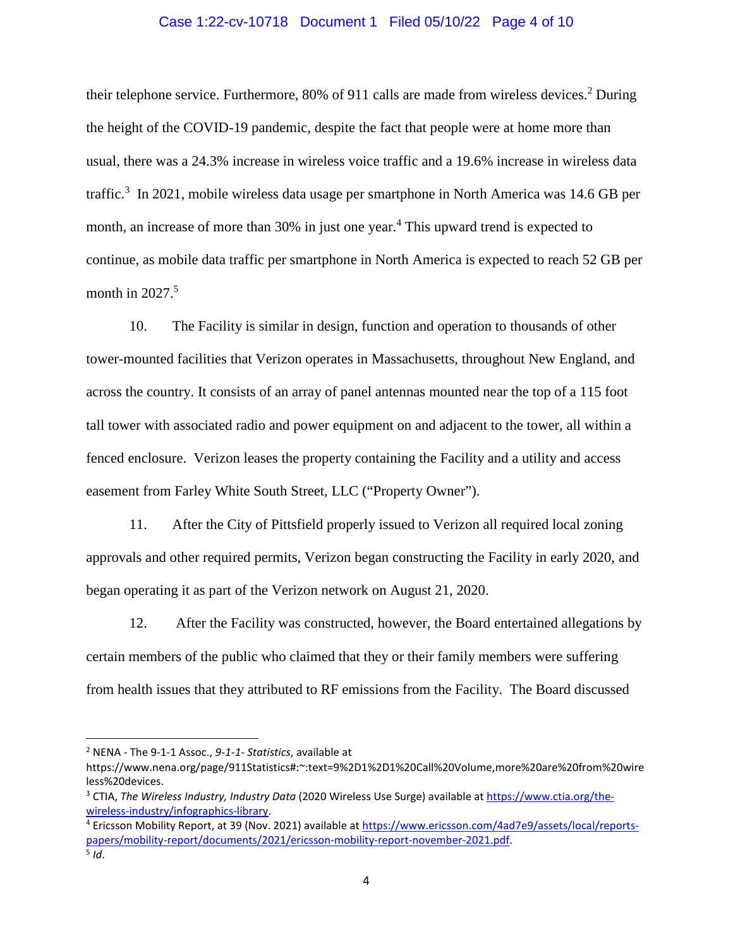## Case 1:22-cv-10718 Document 1 Filed 05/10/22 Page 4 of 10

their telephone service. Furthermore, 80% of 911 calls are made from wireless devices.<sup>[2](#page-3-0)</sup> During the height of the COVID-19 pandemic, despite the fact that people were at home more than usual, there was a 24.3% increase in wireless voice traffic and a 19.6% increase in wireless data traffic.<sup>[3](#page-3-1)</sup> In 2021, mobile wireless data usage per smartphone in North America was 14.6 GB per month, an increase of more than 30% in just one year.<sup>[4](#page-3-2)</sup> This upward trend is expected to continue, as mobile data traffic per smartphone in North America is expected to reach 52 GB per month in  $2027<sup>5</sup>$  $2027<sup>5</sup>$  $2027<sup>5</sup>$ 

10. The Facility is similar in design, function and operation to thousands of other tower-mounted facilities that Verizon operates in Massachusetts, throughout New England, and across the country. It consists of an array of panel antennas mounted near the top of a 115 foot tall tower with associated radio and power equipment on and adjacent to the tower, all within a fenced enclosure. Verizon leases the property containing the Facility and a utility and access easement from Farley White South Street, LLC ("Property Owner").

11. After the City of Pittsfield properly issued to Verizon all required local zoning approvals and other required permits, Verizon began constructing the Facility in early 2020, and began operating it as part of the Verizon network on August 21, 2020.

12. After the Facility was constructed, however, the Board entertained allegations by certain members of the public who claimed that they or their family members were suffering from health issues that they attributed to RF emissions from the Facility. The Board discussed

<span id="page-3-0"></span><sup>2</sup> NENA - The 9-1-1 Assoc., *9-1-1- Statistics*, available at

https://www.nena.org/page/911Statistics#:~:text=9%2D1%2D1%20Call%20Volume,more%20are%20from%20wire less%20devices.

<span id="page-3-1"></span><sup>&</sup>lt;sup>3</sup> CTIA, *The Wireless Industry, Industry Data* (2020 Wireless Use Surge) available at https://www.ctia.org/thewireless-industry/infographics-library.

<span id="page-3-3"></span><span id="page-3-2"></span><sup>&</sup>lt;sup>4</sup> Ericsson Mobility Report, at 39 (Nov. 2021) available at https://www.ericsson.com/4ad7e9/assets/local/reportspapers/mobility-report/documents/2021/ericsson-mobility-report-november-2021.pdf. 5 *Id*.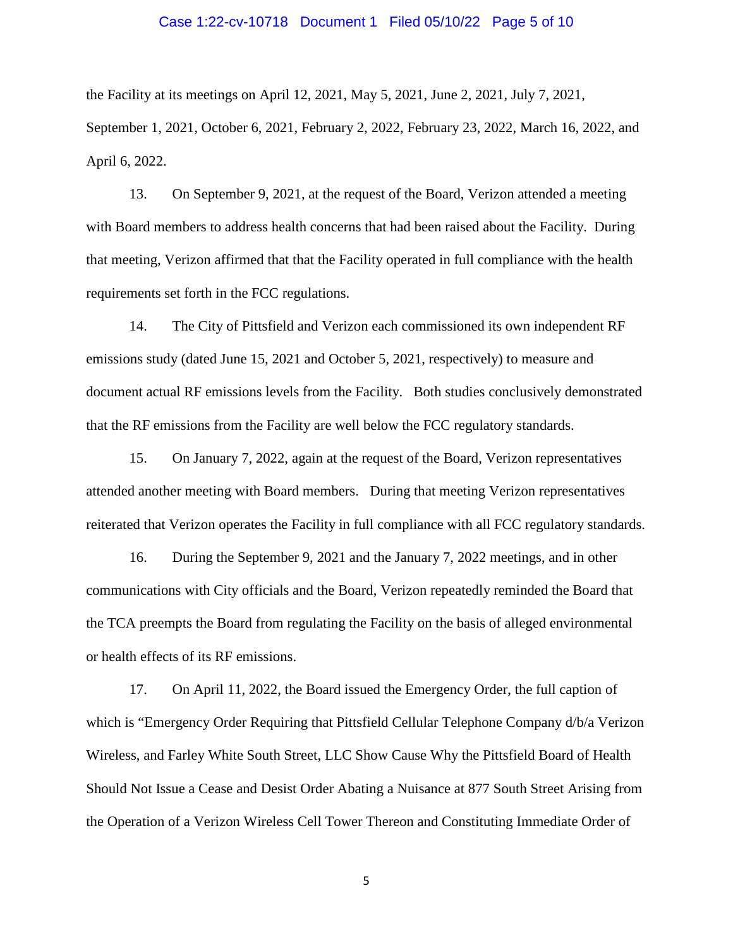## Case 1:22-cv-10718 Document 1 Filed 05/10/22 Page 5 of 10

the Facility at its meetings on April 12, 2021, May 5, 2021, June 2, 2021, July 7, 2021, September 1, 2021, October 6, 2021, February 2, 2022, February 23, 2022, March 16, 2022, and April 6, 2022.

13. On September 9, 2021, at the request of the Board, Verizon attended a meeting with Board members to address health concerns that had been raised about the Facility. During that meeting, Verizon affirmed that that the Facility operated in full compliance with the health requirements set forth in the FCC regulations.

14. The City of Pittsfield and Verizon each commissioned its own independent RF emissions study (dated June 15, 2021 and October 5, 2021, respectively) to measure and document actual RF emissions levels from the Facility. Both studies conclusively demonstrated that the RF emissions from the Facility are well below the FCC regulatory standards.

15. On January 7, 2022, again at the request of the Board, Verizon representatives attended another meeting with Board members. During that meeting Verizon representatives reiterated that Verizon operates the Facility in full compliance with all FCC regulatory standards.

16. During the September 9, 2021 and the January 7, 2022 meetings, and in other communications with City officials and the Board, Verizon repeatedly reminded the Board that the TCA preempts the Board from regulating the Facility on the basis of alleged environmental or health effects of its RF emissions.

17. On April 11, 2022, the Board issued the Emergency Order, the full caption of which is "Emergency Order Requiring that Pittsfield Cellular Telephone Company d/b/a Verizon Wireless, and Farley White South Street, LLC Show Cause Why the Pittsfield Board of Health Should Not Issue a Cease and Desist Order Abating a Nuisance at 877 South Street Arising from the Operation of a Verizon Wireless Cell Tower Thereon and Constituting Immediate Order of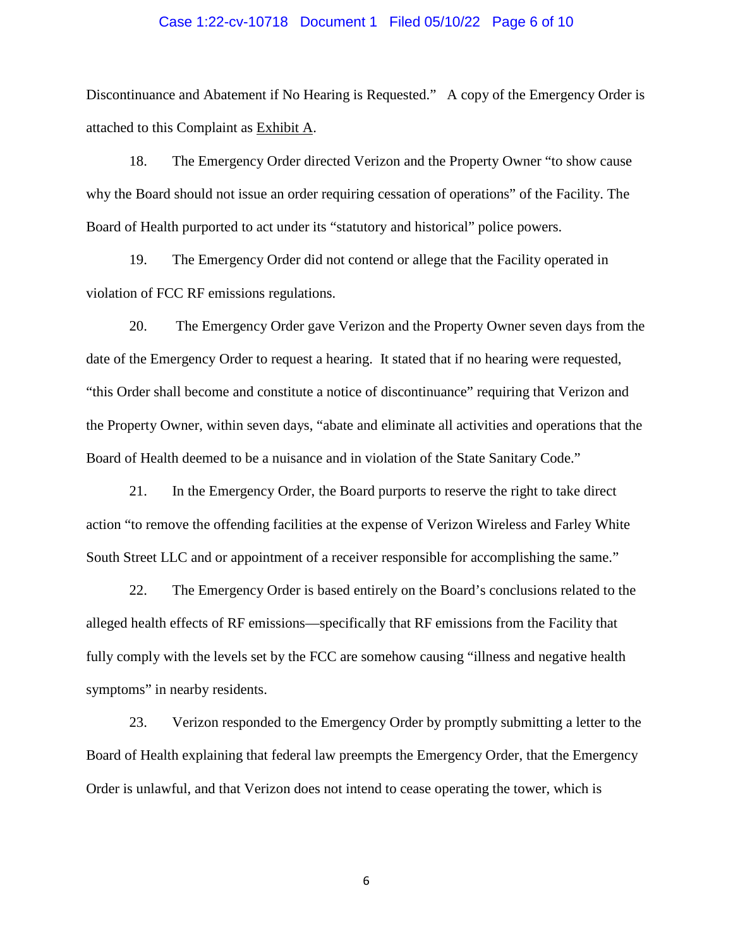#### Case 1:22-cv-10718 Document 1 Filed 05/10/22 Page 6 of 10

Discontinuance and Abatement if No Hearing is Requested." A copy of the Emergency Order is attached to this Complaint as Exhibit A.

18. The Emergency Order directed Verizon and the Property Owner "to show cause why the Board should not issue an order requiring cessation of operations" of the Facility. The Board of Health purported to act under its "statutory and historical" police powers.

19. The Emergency Order did not contend or allege that the Facility operated in violation of FCC RF emissions regulations.

20. The Emergency Order gave Verizon and the Property Owner seven days from the date of the Emergency Order to request a hearing. It stated that if no hearing were requested, "this Order shall become and constitute a notice of discontinuance" requiring that Verizon and the Property Owner, within seven days, "abate and eliminate all activities and operations that the Board of Health deemed to be a nuisance and in violation of the State Sanitary Code."

21. In the Emergency Order, the Board purports to reserve the right to take direct action "to remove the offending facilities at the expense of Verizon Wireless and Farley White South Street LLC and or appointment of a receiver responsible for accomplishing the same."

22. The Emergency Order is based entirely on the Board's conclusions related to the alleged health effects of RF emissions—specifically that RF emissions from the Facility that fully comply with the levels set by the FCC are somehow causing "illness and negative health symptoms" in nearby residents.

23. Verizon responded to the Emergency Order by promptly submitting a letter to the Board of Health explaining that federal law preempts the Emergency Order, that the Emergency Order is unlawful, and that Verizon does not intend to cease operating the tower, which is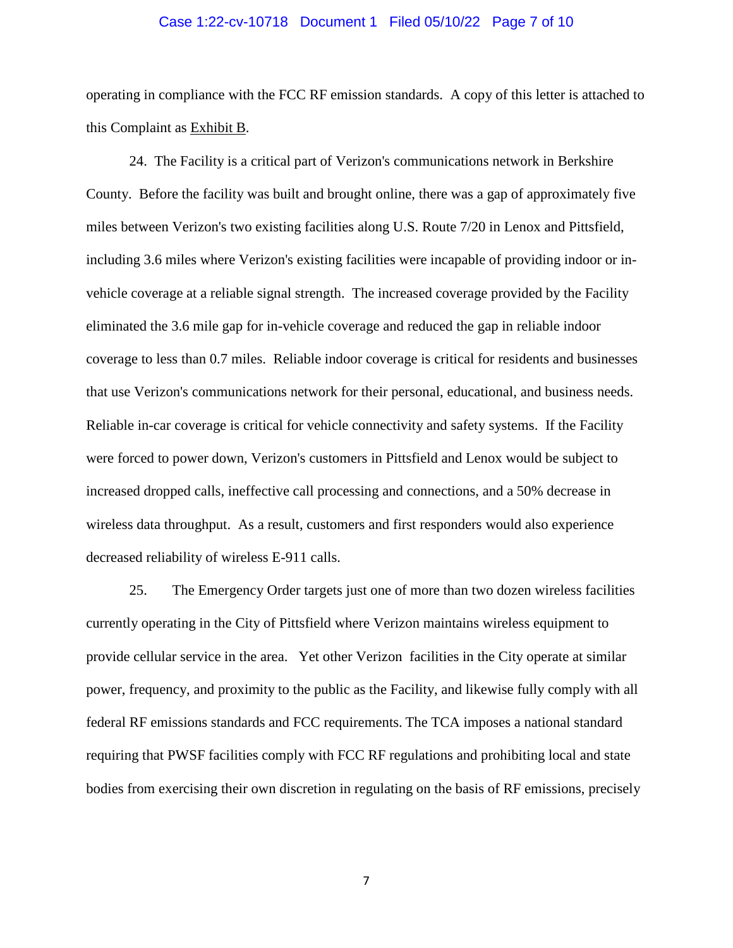## Case 1:22-cv-10718 Document 1 Filed 05/10/22 Page 7 of 10

operating in compliance with the FCC RF emission standards. A copy of this letter is attached to this Complaint as Exhibit B.

24. The Facility is a critical part of Verizon's communications network in Berkshire County. Before the facility was built and brought online, there was a gap of approximately five miles between Verizon's two existing facilities along U.S. Route 7/20 in Lenox and Pittsfield, including 3.6 miles where Verizon's existing facilities were incapable of providing indoor or invehicle coverage at a reliable signal strength. The increased coverage provided by the Facility eliminated the 3.6 mile gap for in-vehicle coverage and reduced the gap in reliable indoor coverage to less than 0.7 miles. Reliable indoor coverage is critical for residents and businesses that use Verizon's communications network for their personal, educational, and business needs. Reliable in-car coverage is critical for vehicle connectivity and safety systems. If the Facility were forced to power down, Verizon's customers in Pittsfield and Lenox would be subject to increased dropped calls, ineffective call processing and connections, and a 50% decrease in wireless data throughput. As a result, customers and first responders would also experience decreased reliability of wireless E-911 calls.

25. The Emergency Order targets just one of more than two dozen wireless facilities currently operating in the City of Pittsfield where Verizon maintains wireless equipment to provide cellular service in the area. Yet other Verizon facilities in the City operate at similar power, frequency, and proximity to the public as the Facility, and likewise fully comply with all federal RF emissions standards and FCC requirements. The TCA imposes a national standard requiring that PWSF facilities comply with FCC RF regulations and prohibiting local and state bodies from exercising their own discretion in regulating on the basis of RF emissions, precisely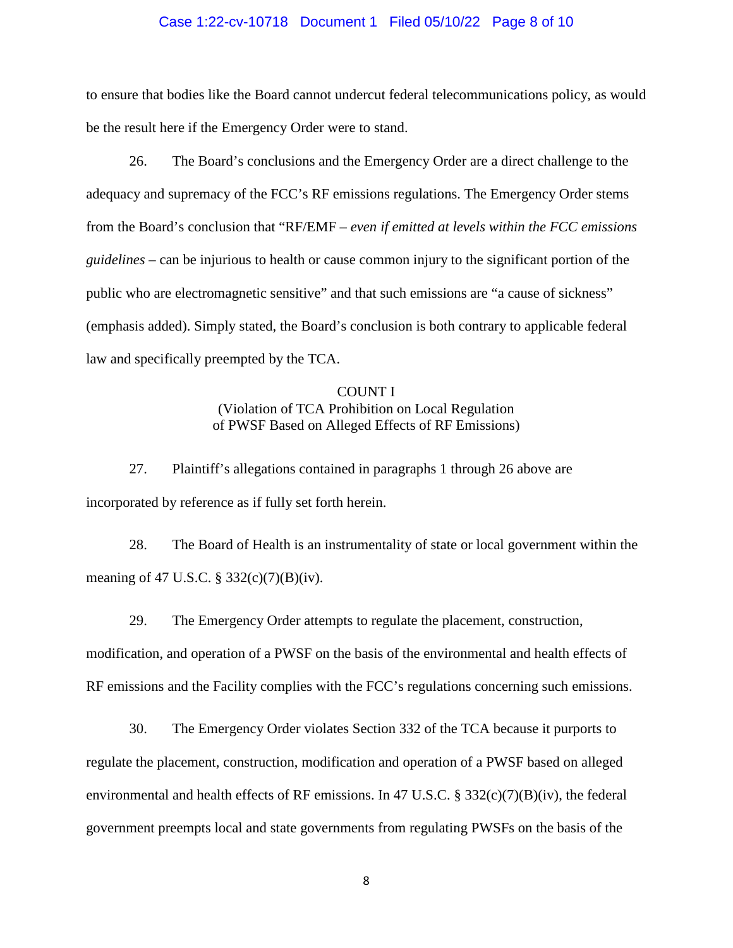## Case 1:22-cv-10718 Document 1 Filed 05/10/22 Page 8 of 10

to ensure that bodies like the Board cannot undercut federal telecommunications policy, as would be the result here if the Emergency Order were to stand.

26. The Board's conclusions and the Emergency Order are a direct challenge to the adequacy and supremacy of the FCC's RF emissions regulations. The Emergency Order stems from the Board's conclusion that "RF/EMF – *even if emitted at levels within the FCC emissions guidelines* – can be injurious to health or cause common injury to the significant portion of the public who are electromagnetic sensitive" and that such emissions are "a cause of sickness" (emphasis added). Simply stated, the Board's conclusion is both contrary to applicable federal law and specifically preempted by the TCA.

# COUNT I (Violation of TCA Prohibition on Local Regulation of PWSF Based on Alleged Effects of RF Emissions)

27. Plaintiff's allegations contained in paragraphs 1 through 26 above are incorporated by reference as if fully set forth herein.

28. The Board of Health is an instrumentality of state or local government within the meaning of 47 U.S.C. § 332(c)(7)(B)(iv).

29. The Emergency Order attempts to regulate the placement, construction,

modification, and operation of a PWSF on the basis of the environmental and health effects of RF emissions and the Facility complies with the FCC's regulations concerning such emissions.

30. The Emergency Order violates Section 332 of the TCA because it purports to regulate the placement, construction, modification and operation of a PWSF based on alleged environmental and health effects of RF emissions. In 47 U.S.C. § 332(c)(7)(B)(iv), the federal government preempts local and state governments from regulating PWSFs on the basis of the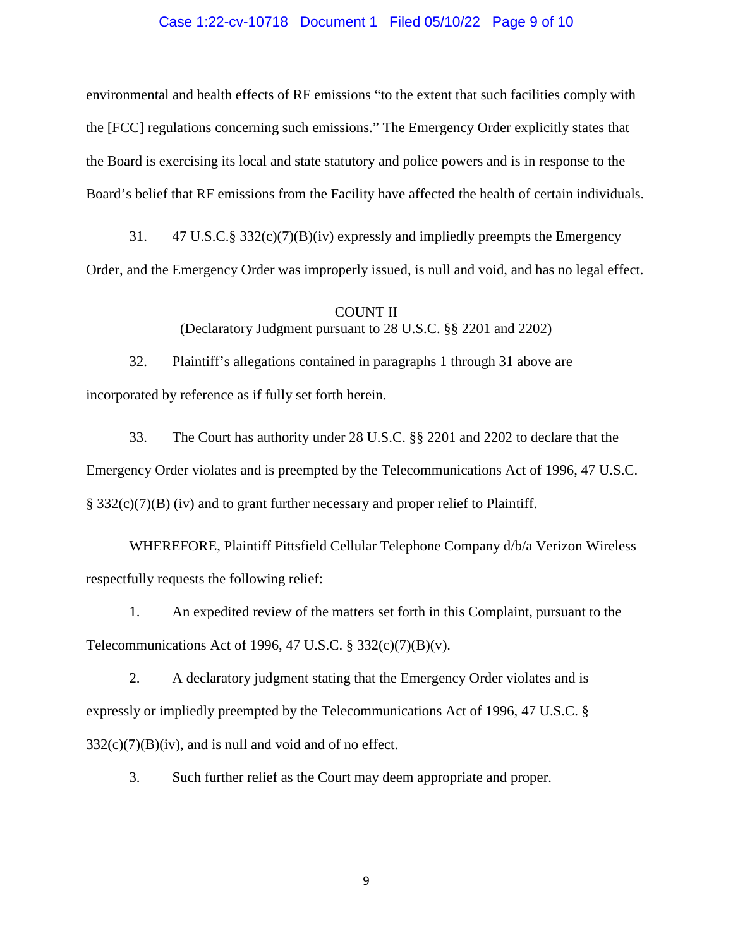## Case 1:22-cv-10718 Document 1 Filed 05/10/22 Page 9 of 10

environmental and health effects of RF emissions "to the extent that such facilities comply with the [FCC] regulations concerning such emissions." The Emergency Order explicitly states that the Board is exercising its local and state statutory and police powers and is in response to the Board's belief that RF emissions from the Facility have affected the health of certain individuals.

31. 47 U.S.C.§ 332(c)(7)(B)(iv) expressly and impliedly preempts the Emergency Order, and the Emergency Order was improperly issued, is null and void, and has no legal effect.

# COUNT II

(Declaratory Judgment pursuant to 28 U.S.C. §§ 2201 and 2202)

32. Plaintiff's allegations contained in paragraphs 1 through 31 above are incorporated by reference as if fully set forth herein.

33. The Court has authority under 28 U.S.C. §§ 2201 and 2202 to declare that the Emergency Order violates and is preempted by the Telecommunications Act of 1996, 47 U.S.C. § 332(c)(7)(B) (iv) and to grant further necessary and proper relief to Plaintiff.

WHEREFORE, Plaintiff Pittsfield Cellular Telephone Company d/b/a Verizon Wireless respectfully requests the following relief:

1. An expedited review of the matters set forth in this Complaint, pursuant to the Telecommunications Act of 1996, 47 U.S.C.  $\S 332(c)(7)(B)(v)$ .

2. A declaratory judgment stating that the Emergency Order violates and is expressly or impliedly preempted by the Telecommunications Act of 1996, 47 U.S.C. §  $332(c)(7)(B)(iv)$ , and is null and void and of no effect.

3. Such further relief as the Court may deem appropriate and proper.